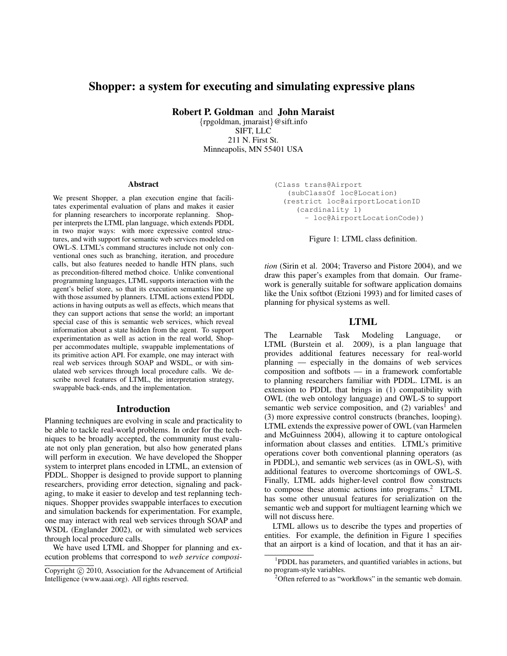# **Shopper: a system for executing and simulating expressive plans**

**Robert P. Goldman** and **John Maraist**

{rpgoldman, jmaraist}@sift.info SIFT, LLC 211 N. First St. Minneapolis, MN 55401 USA

#### **Abstract**

We present Shopper, a plan execution engine that facilitates experimental evaluation of plans and makes it easier for planning researchers to incorporate replanning. Shopper interprets the LTML plan language, which extends PDDL in two major ways: with more expressive control structures, and with support for semantic web services modeled on OWL-S. LTML's command structures include not only conventional ones such as branching, iteration, and procedure calls, but also features needed to handle HTN plans, such as precondition-filtered method choice. Unlike conventional programming languages, LTML supports interaction with the agent's belief store, so that its execution semantics line up with those assumed by planners. LTML actions extend PDDL actions in having outputs as well as effects, which means that they can support actions that sense the world; an important special case of this is semantic web services, which reveal information about a state hidden from the agent. To support experimentation as well as action in the real world, Shopper accommodates multiple, swappable implementations of its primitive action API. For example, one may interact with real web services through SOAP and WSDL, or with simulated web services through local procedure calls. We describe novel features of LTML, the interpretation strategy, swappable back-ends, and the implementation.

### **Introduction**

Planning techniques are evolving in scale and practicality to be able to tackle real-world problems. In order for the techniques to be broadly accepted, the community must evaluate not only plan generation, but also how generated plans will perform in execution. We have developed the Shopper system to interpret plans encoded in LTML, an extension of PDDL. Shopper is designed to provide support to planning researchers, providing error detection, signaling and packaging, to make it easier to develop and test replanning techniques. Shopper provides swappable interfaces to execution and simulation backends for experimentation. For example, one may interact with real web services through SOAP and WSDL (Englander 2002), or with simulated web services through local procedure calls.

We have used LTML and Shopper for planning and execution problems that correspond to *web service composi-*

(Class trans@Airport (subClassOf loc@Location) (restrict loc@airportLocationID (cardinality 1) - loc@AirportLocationCode))

Figure 1: LTML class definition.

*tion* (Sirin et al. 2004; Traverso and Pistore 2004), and we draw this paper's examples from that domain. Our framework is generally suitable for software application domains like the Unix softbot (Etzioni 1993) and for limited cases of planning for physical systems as well.

### **LTML**

The Learnable Task Modeling Language, or LTML (Burstein et al. 2009), is a plan language that provides additional features necessary for real-world planning — especially in the domains of web services composition and softbots — in a framework comfortable to planning researchers familiar with PDDL. LTML is an extension to PDDL that brings in (1) compatibility with OWL (the web ontology language) and OWL-S to support semantic web service composition, and  $(2)$  variables<sup>1</sup> and (3) more expressive control constructs (branches, looping). LTML extends the expressive power of OWL (van Harmelen and McGuinness 2004), allowing it to capture ontological information about classes and entities. LTML's primitive operations cover both conventional planning operators (as in PDDL), and semantic web services (as in OWL-S), with additional features to overcome shortcomings of OWL-S. Finally, LTML adds higher-level control flow constructs to compose these atomic actions into programs. $2$  LTML has some other unusual features for serialization on the semantic web and support for multiagent learning which we will not discuss here.

LTML allows us to describe the types and properties of entities. For example, the definition in Figure 1 specifies that an airport is a kind of location, and that it has an air-

Copyright (c) 2010, Association for the Advancement of Artificial Intelligence (www.aaai.org). All rights reserved.

<sup>&</sup>lt;sup>1</sup>PDDL has parameters, and quantified variables in actions, but no program-style variables.

<sup>&</sup>lt;sup>2</sup>Often referred to as "workflows" in the semantic web domain.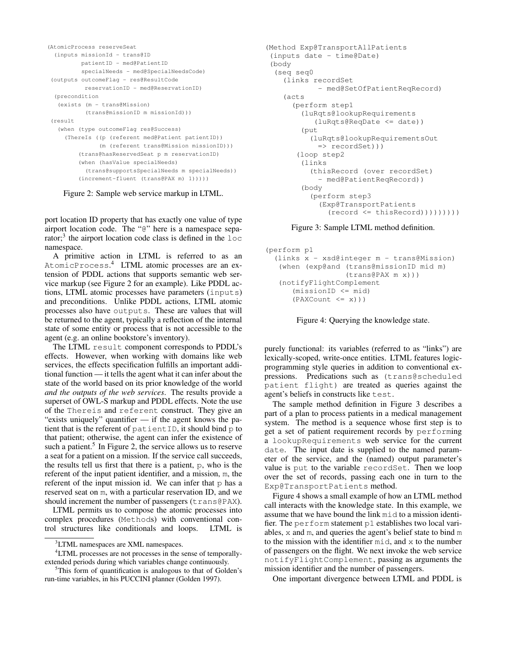```
(AtomicProcess reserveSeat
  (inputs missionId - trans@ID
         patientID - med@PatientID
         specialNeeds - med@SpecialNeedsCode)
(outputs outcomeFlag - res@ResultCode
          reservationID - med@ReservationID)
 (precondition
  (exists (m - trans@Mission)
          (trans@missionID m missionId)))
(result
  (when (type outcomeFlag res@Success)
    (ThereIs ((p (referent med@Patient patientID))
              (m (referent trans@Mission missionID)))
        (trans@hasReservedSeat p m reservationID)
         (when (hasValue specialNeeds)
          (trans@supportsSpecialNeeds m specialNeeds))
         (increment-fluent (trans@PAX m) 1)))))
```
Figure 2: Sample web service markup in LTML.

port location ID property that has exactly one value of type airport location code. The "@" here is a namespace separator;<sup>3</sup> the airport location code class is defined in the  $1 \circ c$ namespace.

A primitive action in LTML is referred to as an AtomicProcess. <sup>4</sup> LTML atomic processes are an extension of PDDL actions that supports semantic web service markup (see Figure 2 for an example). Like PDDL actions, LTML atomic processes have parameters (inputs) and preconditions. Unlike PDDL actions, LTML atomic processes also have outputs. These are values that will be returned to the agent, typically a reflection of the internal state of some entity or process that is not accessible to the agent (e.g. an online bookstore's inventory).

The LTML result component corresponds to PDDL's effects. However, when working with domains like web services, the effects specification fulfills an important additional function — it tells the agent what it can infer about the state of the world based on its prior knowledge of the world *and the outputs of the web services*. The results provide a superset of OWL-S markup and PDDL effects. Note the use of the Thereis and referent construct. They give an "exists uniquely" quantifier — if the agent knows the patient that is the referent of patientID, it should bind  $p$  to that patient; otherwise, the agent can infer the existence of such a patient.<sup>5</sup> In Figure 2, the service allows us to reserve a seat for a patient on a mission. If the service call succeeds, the results tell us first that there is a patient, p, who is the referent of the input patient identifier, and a mission, m, the referent of the input mission id. We can infer that  $\varphi$  has a reserved seat on m, with a particular reservation ID, and we should increment the number of passengers (trans@PAX).

LTML permits us to compose the atomic processes into complex procedures (Methods) with conventional control structures like conditionals and loops. LTML is

```
(Method Exp@TransportAllPatients
 (inputs date - time@Date)
(body
 (seq seq0
    (links recordSet
            - med@SetOfPatientReqRecord)
    (acts
     (perform step1
        (luRqts@lookupRequirements
           (luRqts@ReqDate <= date))
        (put
          (luRqts@lookupRequirementsOut
            => recordSet)))
       (loop step2
        (links
          (thisRecord (over recordSet)
            - med@PatientReqRecord))
        (body
          (perform step3
            (Exp@TransportPatients
              (record \leq thisRecord))))))
```
Figure 3: Sample LTML method definition.

```
(perform p1
  (links x - xsd@integer m - trans@Mission)
   (when (exp@and (trans@missionID mid m)
                  (trans@PAX m x)))
   (notifyFlightComplement
      (missionID <= mid)
      (PAXCount \le x))
```
Figure 4: Querying the knowledge state.

purely functional: its variables (referred to as "links") are lexically-scoped, write-once entities. LTML features logicprogramming style queries in addition to conventional expressions. Predications such as (trans@scheduled patient flight) are treated as queries against the agent's beliefs in constructs like test.

The sample method definition in Figure 3 describes a part of a plan to process patients in a medical management system. The method is a sequence whose first step is to get a set of patient requirement records by performing a lookupRequirements web service for the current date. The input date is supplied to the named parameter of the service, and the (named) output parameter's value is put to the variable recordSet. Then we loop over the set of records, passing each one in turn to the Exp@TransportPatients method.

Figure 4 shows a small example of how an LTML method call interacts with the knowledge state. In this example, we assume that we have bound the link mid to a mission identifier. The perform statement p1 establishes two local variables, x and m, and queries the agent's belief state to bind m to the mission with the identifier mid, and x to the number of passengers on the flight. We next invoke the web service notifyFlightComplement, passing as arguments the mission identifier and the number of passengers.

One important divergence between LTML and PDDL is

<sup>&</sup>lt;sup>3</sup>LTML namespaces are XML namespaces.

<sup>&</sup>lt;sup>4</sup>LTML processes are not processes in the sense of temporallyextended periods during which variables change continuously.

<sup>5</sup>This form of quantification is analogous to that of Golden's run-time variables, in his PUCCINI planner (Golden 1997).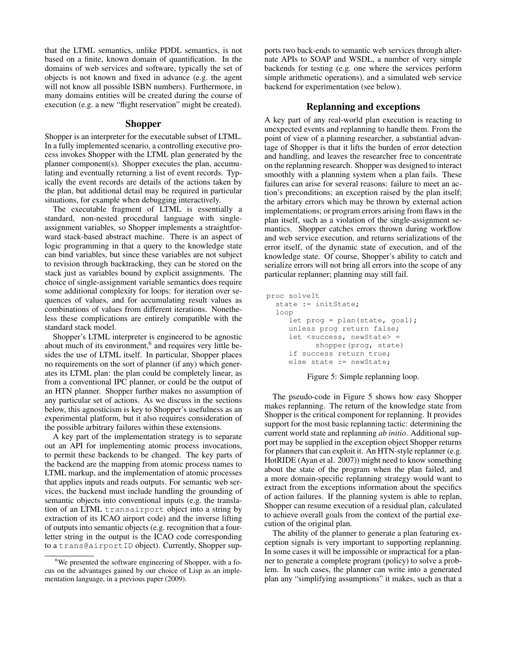that the LTML semantics, unlike PDDL semantics, is not based on a finite, known domain of quantification. In the domains of web services and software, typically the set of objects is not known and fixed in advance (e.g. the agent will not know all possible ISBN numbers). Furthermore, in many domains entities will be created during the course of execution (e.g. a new "flight reservation" might be created).

### **Shopper**

Shopper is an interpreter for the executable subset of LTML. In a fully implemented scenario, a controlling executive process invokes Shopper with the LTML plan generated by the planner component(s). Shopper executes the plan, accumulating and eventually returning a list of event records. Typically the event records are details of the actions taken by the plan, but additional detail may be required in particular situations, for example when debugging interactively.

The executable fragment of LTML is essentially a standard, non-nested procedural language with singleassignment variables, so Shopper implements a straightforward stack-based abstract machine. There is an aspect of logic programming in that a query to the knowledge state can bind variables, but since these variables are not subject to revision through backtracking, they can be stored on the stack just as variables bound by explicit assignments. The choice of single-assignment variable semantics does require some additional complexity for loops: for iteration over sequences of values, and for accumulating result values as combinations of values from different iterations. Nonetheless these complications are entirely compatible with the standard stack model.

Shopper's LTML interpreter is engineered to be agnostic about much of its environment,<sup>6</sup> and requires very little besides the use of LTML itself. In particular, Shopper places no requirements on the sort of planner (if any) which generates its LTML plan: the plan could be completely linear, as from a conventional IPC planner, or could be the output of an HTN planner. Shopper further makes no assumption of any particular set of actions. As we discuss in the sections below, this agnosticism is key to Shopper's usefulness as an experimental platform, but it also requires consideration of the possible arbitrary failures within these extensions.

A key part of the implementation strategy is to separate out an API for implementing atomic process invocations, to permit these backends to be changed. The key parts of the backend are the mapping from atomic process names to LTML markup, and the implementation of atomic processes that applies inputs and reads outputs. For semantic web services, the backend must include handling the grounding of semantic objects into conventional inputs (e.g. the translation of an LTML transairport object into a string by extraction of its ICAO airport code) and the inverse lifting of outputs into semantic objects (e.g. recognition that a fourletter string in the output is the ICAO code corresponding to a trans@airportID object). Currently, Shopper supports two back-ends to semantic web services through alternate APIs to SOAP and WSDL, a number of very simple backends for testing (e.g. one where the services perform simple arithmetic operations), and a simulated web service backend for experimentation (see below).

## **Replanning and exceptions**

A key part of any real-world plan execution is reacting to unexpected events and replanning to handle them. From the point of view of a planning researcher, a substantial advantage of Shopper is that it lifts the burden of error detection and handling, and leaves the researcher free to concentrate on the replanning research. Shopper was designed to interact smoothly with a planning system when a plan fails. These failures can arise for several reasons: failure to meet an action's preconditions; an exception raised by the plan itself; the arbitary errors which may be thrown by external action implementations; or program errors arising from flaws in the plan itself, such as a violation of the single-assignment semantics. Shopper catches errors thrown during workflow and web service execution, and returns serializations of the error itself, of the dynamic state of execution, and of the knowledge state. Of course, Shopper's ability to catch and serialize errors will not bring all errors into the scope of any particular replanner; planning may still fail.

```
proc solveIt
  state := initState;
  loop
     let prog = plan(state, goal);
     unless prog return false;
     let <success, newState> =
           shopper(prog, state)
     if success return true;
     else state := newState;
```
Figure 5: Simple replanning loop.

The pseudo-code in Figure 5 shows how easy Shopper makes replanning. The return of the knowledge state from Shopper is the critical component for replanning. It provides support for the most basic replanning tactic: determining the current world state and replanning *ab initio*. Additional support may be supplied in the exception object Shopper returns for planners that can exploit it. An HTN-style replanner (e.g. HotRIDE (Ayan et al. 2007)) might need to know something about the state of the program when the plan failed, and a more domain-specific replanning strategy would want to extract from the exceptions information about the specifics of action failures. If the planning system is able to replan, Shopper can resume execution of a residual plan, calculated to achieve overall goals from the context of the partial execution of the original plan.

The ability of the planner to generate a plan featuring exception signals is very important to supporting replanning. In some cases it will be impossible or impractical for a planner to generate a complete program (policy) to solve a problem. In such cases, the planner can write into a generated plan any "simplifying assumptions" it makes, such as that a

 $6W$ e presented the software engineering of Shopper, with a focus on the advantages gained by our choice of Lisp as an implementation language, in a previous paper (2009).